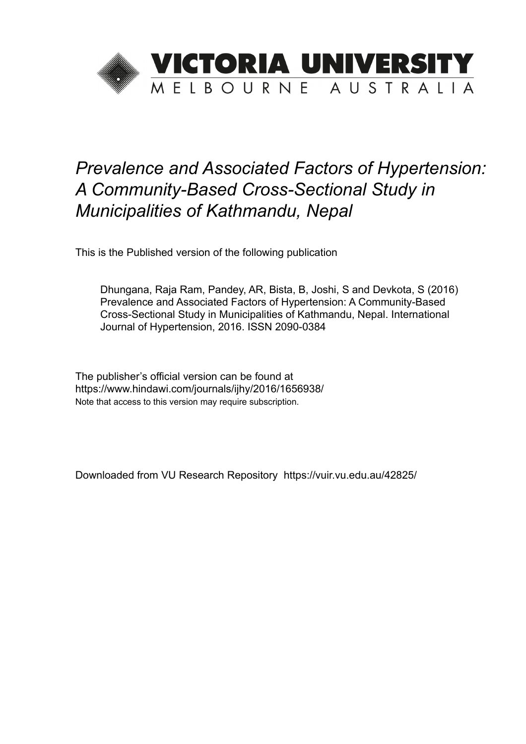

# *Prevalence and Associated Factors of Hypertension: A Community-Based Cross-Sectional Study in Municipalities of Kathmandu, Nepal*

This is the Published version of the following publication

Dhungana, Raja Ram, Pandey, AR, Bista, B, Joshi, S and Devkota, S (2016) Prevalence and Associated Factors of Hypertension: A Community-Based Cross-Sectional Study in Municipalities of Kathmandu, Nepal. International Journal of Hypertension, 2016. ISSN 2090-0384

The publisher's official version can be found at https://www.hindawi.com/journals/ijhy/2016/1656938/ Note that access to this version may require subscription.

Downloaded from VU Research Repository https://vuir.vu.edu.au/42825/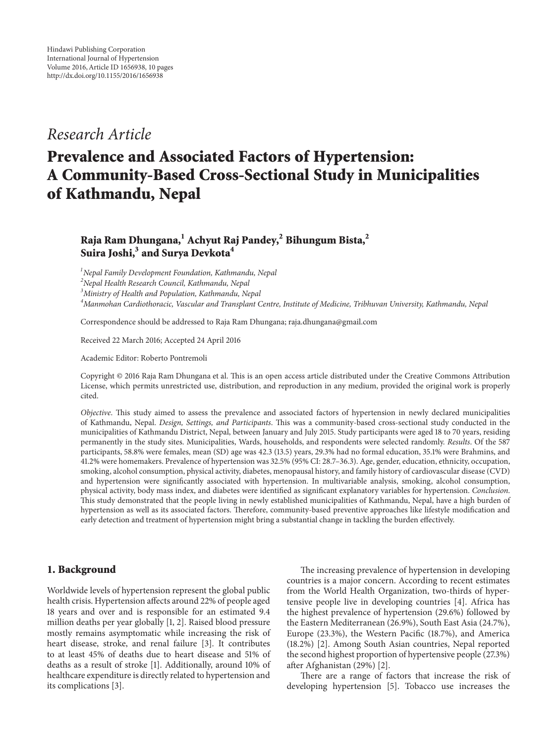### *Research Article*

## **Prevalence and Associated Factors of Hypertension: A Community-Based Cross-Sectional Study in Municipalities of Kathmandu, Nepal**

#### **Raja Ram Dhungana,1 Achyut Raj Pandey,2 Bihungum Bista,2 Suira Joshi,3 and Surya Devkota<sup>4</sup>**

 *Nepal Family Development Foundation, Kathmandu, Nepal Nepal Health Research Council, Kathmandu, Nepal Ministry of Health and Population, Kathmandu, Nepal Manmohan Cardiothoracic, Vascular and Transplant Centre, Institute of Medicine, Tribhuvan University, Kathmandu, Nepal*

Correspondence should be addressed to Raja Ram Dhungana; raja.dhungana@gmail.com

Received 22 March 2016; Accepted 24 April 2016

Academic Editor: Roberto Pontremoli

Copyright © 2016 Raja Ram Dhungana et al. This is an open access article distributed under the Creative Commons Attribution License, which permits unrestricted use, distribution, and reproduction in any medium, provided the original work is properly cited.

*Objective*. This study aimed to assess the prevalence and associated factors of hypertension in newly declared municipalities of Kathmandu, Nepal. *Design, Settings, and Participants*. This was a community-based cross-sectional study conducted in the municipalities of Kathmandu District, Nepal, between January and July 2015. Study participants were aged 18 to 70 years, residing permanently in the study sites. Municipalities, Wards, households, and respondents were selected randomly. *Results*. Of the 587 participants, 58.8% were females, mean (SD) age was 42.3 (13.5) years, 29.3% had no formal education, 35.1% were Brahmins, and 41.2% were homemakers. Prevalence of hypertension was 32.5% (95% CI: 28.7–36.3). Age, gender, education, ethnicity, occupation, smoking, alcohol consumption, physical activity, diabetes, menopausal history, and family history of cardiovascular disease (CVD) and hypertension were significantly associated with hypertension. In multivariable analysis, smoking, alcohol consumption, physical activity, body mass index, and diabetes were identified as significant explanatory variables for hypertension. *Conclusion*. This study demonstrated that the people living in newly established municipalities of Kathmandu, Nepal, have a high burden of hypertension as well as its associated factors. Therefore, community-based preventive approaches like lifestyle modification and early detection and treatment of hypertension might bring a substantial change in tackling the burden effectively.

#### **1. Background**

Worldwide levels of hypertension represent the global public health crisis. Hypertension affects around 22% of people aged 18 years and over and is responsible for an estimated 9.4 million deaths per year globally [1, 2]. Raised blood pressure mostly remains asymptomatic while increasing the risk of heart disease, stroke, and renal failure [3]. It contributes to at least 45% of deaths due to heart disease and 51% of deaths as a result of stroke [1]. Additionally, around 10% of healthcare expenditure is directly related to hypertension and its complications [3].

The increasing prevalence of hypertension in developing countries is a major concern. According to recent estimates from the World Health Organization, two-thirds of hypertensive people live in developing countries [4]. Africa has the highest prevalence of hypertension (29.6%) followed by the Eastern Mediterranean (26.9%), South East Asia (24.7%), Europe (23.3%), the Western Pacific (18.7%), and America (18.2%) [2]. Among South Asian countries, Nepal reported the second highest proportion of hypertensive people (27.3%) after Afghanistan (29%) [2].

There are a range of factors that increase the risk of developing hypertension [5]. Tobacco use increases the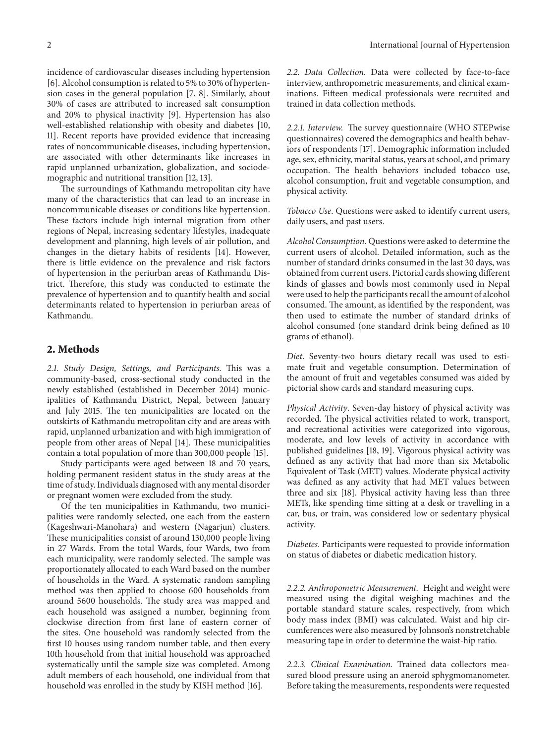incidence of cardiovascular diseases including hypertension [6]. Alcohol consumption is related to 5% to 30% of hypertension cases in the general population [7, 8]. Similarly, about 30% of cases are attributed to increased salt consumption and 20% to physical inactivity [9]. Hypertension has also well-established relationship with obesity and diabetes [10, 11]. Recent reports have provided evidence that increasing rates of noncommunicable diseases, including hypertension, are associated with other determinants like increases in rapid unplanned urbanization, globalization, and sociodemographic and nutritional transition [12, 13].

The surroundings of Kathmandu metropolitan city have many of the characteristics that can lead to an increase in noncommunicable diseases or conditions like hypertension. These factors include high internal migration from other regions of Nepal, increasing sedentary lifestyles, inadequate development and planning, high levels of air pollution, and changes in the dietary habits of residents [14]. However, there is little evidence on the prevalence and risk factors of hypertension in the periurban areas of Kathmandu District. Therefore, this study was conducted to estimate the prevalence of hypertension and to quantify health and social determinants related to hypertension in periurban areas of Kathmandu.

#### **2. Methods**

*2.1. Study Design, Settings, and Participants.* This was a community-based, cross-sectional study conducted in the newly established (established in December 2014) municipalities of Kathmandu District, Nepal, between January and July 2015. The ten municipalities are located on the outskirts of Kathmandu metropolitan city and are areas with rapid, unplanned urbanization and with high immigration of people from other areas of Nepal [14]. These municipalities contain a total population of more than 300,000 people [15].

Study participants were aged between 18 and 70 years, holding permanent resident status in the study areas at the time of study. Individuals diagnosed with any mental disorder or pregnant women were excluded from the study.

Of the ten municipalities in Kathmandu, two municipalities were randomly selected, one each from the eastern (Kageshwari-Manohara) and western (Nagarjun) clusters. These municipalities consist of around 130,000 people living in 27 Wards. From the total Wards, four Wards, two from each municipality, were randomly selected. The sample was proportionately allocated to each Ward based on the number of households in the Ward. A systematic random sampling method was then applied to choose 600 households from around 5600 households. The study area was mapped and each household was assigned a number, beginning from clockwise direction from first lane of eastern corner of the sites. One household was randomly selected from the first 10 houses using random number table, and then every 10th household from that initial household was approached systematically until the sample size was completed. Among adult members of each household, one individual from that household was enrolled in the study by KISH method [16].

*2.2. Data Collection.* Data were collected by face-to-face interview, anthropometric measurements, and clinical examinations. Fifteen medical professionals were recruited and trained in data collection methods.

*2.2.1. Interview.* The survey questionnaire (WHO STEPwise questionnaires) covered the demographics and health behaviors of respondents [17]. Demographic information included age, sex, ethnicity, marital status, years at school, and primary occupation. The health behaviors included tobacco use, alcohol consumption, fruit and vegetable consumption, and physical activity.

*Tobacco Use*. Questions were asked to identify current users, daily users, and past users.

*Alcohol Consumption*. Questions were asked to determine the current users of alcohol. Detailed information, such as the number of standard drinks consumed in the last 30 days, was obtained from current users. Pictorial cards showing different kinds of glasses and bowls most commonly used in Nepal were used to help the participants recall the amount of alcohol consumed. The amount, as identified by the respondent, was then used to estimate the number of standard drinks of alcohol consumed (one standard drink being defined as 10 grams of ethanol).

*Diet*. Seventy-two hours dietary recall was used to estimate fruit and vegetable consumption. Determination of the amount of fruit and vegetables consumed was aided by pictorial show cards and standard measuring cups.

*Physical Activity*. Seven-day history of physical activity was recorded. The physical activities related to work, transport, and recreational activities were categorized into vigorous, moderate, and low levels of activity in accordance with published guidelines [18, 19]. Vigorous physical activity was defined as any activity that had more than six Metabolic Equivalent of Task (MET) values. Moderate physical activity was defined as any activity that had MET values between three and six [18]. Physical activity having less than three METs, like spending time sitting at a desk or travelling in a car, bus, or train, was considered low or sedentary physical activity.

*Diabetes*. Participants were requested to provide information on status of diabetes or diabetic medication history.

*2.2.2. Anthropometric Measurement.* Height and weight were measured using the digital weighing machines and the portable standard stature scales, respectively, from which body mass index (BMI) was calculated. Waist and hip circumferences were also measured by Johnson's nonstretchable measuring tape in order to determine the waist-hip ratio.

*2.2.3. Clinical Examination.* Trained data collectors measured blood pressure using an aneroid sphygmomanometer. Before taking the measurements, respondents were requested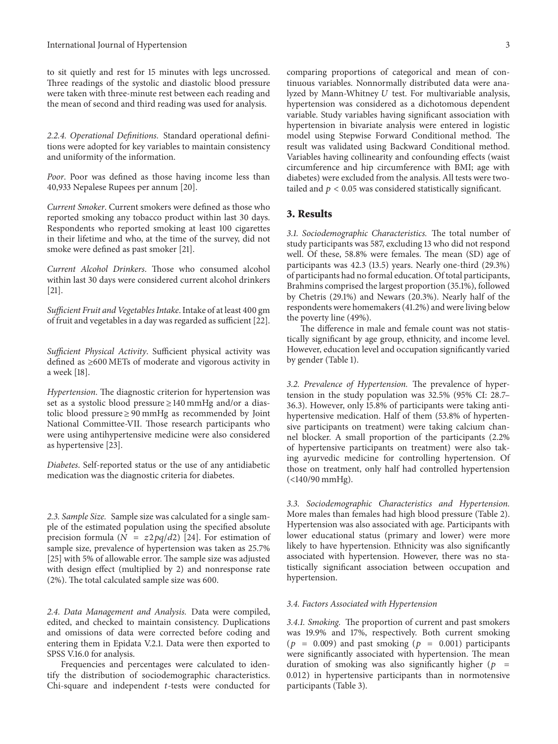to sit quietly and rest for 15 minutes with legs uncrossed. Three readings of the systolic and diastolic blood pressure were taken with three-minute rest between each reading and the mean of second and third reading was used for analysis.

*2.2.4. Operational Definitions.* Standard operational definitions were adopted for key variables to maintain consistency and uniformity of the information.

*Poor*. Poor was defined as those having income less than 40,933 Nepalese Rupees per annum [20].

*Current Smoker*. Current smokers were defined as those who reported smoking any tobacco product within last 30 days. Respondents who reported smoking at least 100 cigarettes in their lifetime and who, at the time of the survey, did not smoke were defined as past smoker [21].

*Current Alcohol Drinkers*. Those who consumed alcohol within last 30 days were considered current alcohol drinkers [21].

*Sufficient Fruit and Vegetables Intake*. Intake of at least 400 gm of fruit and vegetables in a day was regarded as sufficient [22].

*Sufficient Physical Activity*. Sufficient physical activity was defined as ≥600 METs of moderate and vigorous activity in a week [18].

*Hypertension*. The diagnostic criterion for hypertension was set as a systolic blood pressure ≥ 140 mmHg and/or a diastolic blood pressure ≥ 90 mmHg as recommended by Joint National Committee-VII. Those research participants who were using antihypertensive medicine were also considered as hypertensive [23].

*Diabetes*. Self-reported status or the use of any antidiabetic medication was the diagnostic criteria for diabetes.

*2.3. Sample Size.* Sample size was calculated for a single sample of the estimated population using the specified absolute precision formula ( $N = z2pq/d2$ ) [24]. For estimation of sample size, prevalence of hypertension was taken as 25.7% [25] with 5% of allowable error. The sample size was adjusted with design effect (multiplied by 2) and nonresponse rate (2%). The total calculated sample size was 600.

*2.4. Data Management and Analysis.* Data were compiled, edited, and checked to maintain consistency. Duplications and omissions of data were corrected before coding and entering them in Epidata V.2.1. Data were then exported to SPSS V.16.0 for analysis.

Frequencies and percentages were calculated to identify the distribution of sociodemographic characteristics. Chi-square and independent  $t$ -tests were conducted for

comparing proportions of categorical and mean of continuous variables. Nonnormally distributed data were analyzed by Mann-Whitney  $U$  test. For multivariable analysis, hypertension was considered as a dichotomous dependent variable. Study variables having significant association with hypertension in bivariate analysis were entered in logistic model using Stepwise Forward Conditional method. The result was validated using Backward Conditional method. Variables having collinearity and confounding effects (waist circumference and hip circumference with BMI; age with diabetes) were excluded from the analysis. All tests were twotailed and  $p < 0.05$  was considered statistically significant.

#### **3. Results**

*3.1. Sociodemographic Characteristics.* The total number of study participants was 587, excluding 13 who did not respond well. Of these, 58.8% were females. The mean (SD) age of participants was 42.3 (13.5) years. Nearly one-third (29.3%) of participants had no formal education. Of total participants, Brahmins comprised the largest proportion (35.1%), followed by Chetris (29.1%) and Newars (20.3%). Nearly half of the respondents were homemakers (41.2%) and were living below the poverty line (49%).

The difference in male and female count was not statistically significant by age group, ethnicity, and income level. However, education level and occupation significantly varied by gender (Table 1).

*3.2. Prevalence of Hypertension.* The prevalence of hypertension in the study population was 32.5% (95% CI: 28.7– 36.3). However, only 15.8% of participants were taking antihypertensive medication. Half of them (53.8% of hypertensive participants on treatment) were taking calcium channel blocker. A small proportion of the participants (2.2% of hypertensive participants on treatment) were also taking ayurvedic medicine for controlling hypertension. Of those on treatment, only half had controlled hypertension (<140/90 mmHg).

*3.3. Sociodemographic Characteristics and Hypertension.* More males than females had high blood pressure (Table 2). Hypertension was also associated with age. Participants with lower educational status (primary and lower) were more likely to have hypertension. Ethnicity was also significantly associated with hypertension. However, there was no statistically significant association between occupation and hypertension.

#### *3.4. Factors Associated with Hypertension*

*3.4.1. Smoking.* The proportion of current and past smokers was 19.9% and 17%, respectively. Both current smoking ( $p = 0.009$ ) and past smoking ( $p = 0.001$ ) participants were significantly associated with hypertension. The mean duration of smoking was also significantly higher ( $p =$ 0.012) in hypertensive participants than in normotensive participants (Table 3).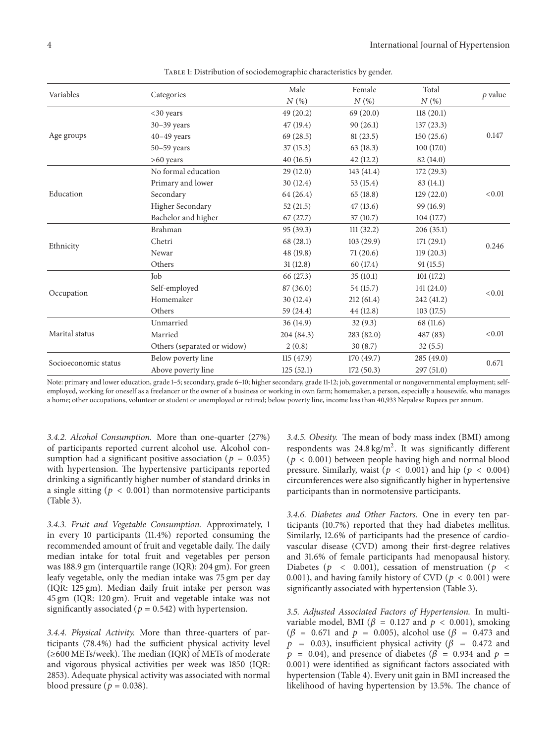| Variables            |                             | Male                 | Female     | Total      | $p$ value |  |
|----------------------|-----------------------------|----------------------|------------|------------|-----------|--|
|                      | Categories                  | N(%)                 | N(%)       | N(%)       |           |  |
|                      | $<$ 30 years                | 49(20.2)             | 69(20.0)   | 118(20.1)  |           |  |
| Age groups           | $30-39$ years               | 47 (19.4)            | 90(26.1)   | 137(23.3)  |           |  |
|                      | $40-49$ years               | 69(28.5)             | 81(23.5)   | 150(25.6)  | 0.147     |  |
|                      | $50 - 59$ years             | 37(15.3)             | 63(18.3)   | 100(17.0)  |           |  |
|                      | $>60$ years                 | 40(16.5)<br>42(12.2) |            | 82(14.0)   |           |  |
|                      | No formal education         | 29(12.0)             | 143 (41.4) | 172(29.3)  | < 0.01    |  |
|                      | Primary and lower           | 30(12.4)             | 53(15.4)   | 83 (14.1)  |           |  |
| Education            | Secondary                   | 64 (26.4)            | 65(18.8)   | 129(22.0)  |           |  |
|                      | Higher Secondary            | 52(21.5)             | 47(13.6)   | 99 (16.9)  |           |  |
|                      | Bachelor and higher         | 67(27.7)             | 37(10.7)   | 104(17.7)  |           |  |
|                      | Brahman                     | 95(39.3)             | 111(32.2)  | 206(35.1)  |           |  |
| Ethnicity            | Chetri                      | 68 (28.1)            | 103(29.9)  | 171(29.1)  | 0.246     |  |
|                      | Newar                       | 48 (19.8)            | 71(20.6)   | 119(20.3)  |           |  |
|                      | Others                      | 31(12.8)             | 60 (17.4)  | 91(15.5)   |           |  |
| Occupation           | Job                         | 66 (27.3)            | 35(10.1)   | 101(17.2)  |           |  |
|                      | Self-employed               | 87(36.0)             | 54 (15.7)  | 141(24.0)  | < 0.01    |  |
|                      | Homemaker                   | 30(12.4)             | 212(61.4)  | 242 (41.2) |           |  |
|                      | Others                      | 59 (24.4)            | 44 (12.8)  | 103(17.5)  |           |  |
| Marital status       | Unmarried                   | 36(14.9)             | 32(9.3)    | 68 (11.6)  | < 0.01    |  |
|                      | Married                     | 204 (84.3)           | 283 (82.0) | 487 (83)   |           |  |
|                      | Others (separated or widow) | 2(0.8)               | 30(8.7)    | 32(5.5)    |           |  |
| Socioeconomic status | Below poverty line          | 115(47.9)            | 170(49.7)  | 285(49.0)  | 0.671     |  |
|                      | Above poverty line          | 125(52.1)            | 172(50.3)  | 297 (51.0) |           |  |

TABLE 1: Distribution of sociodemographic characteristics by gender.

Note: primary and lower education, grade 1–5; secondary, grade 6–10; higher secondary, grade 11-12; job, governmental or nongovernmental employment; selfemployed, working for oneself as a freelancer or the owner of a business or working in own farm; homemaker, a person, especially a housewife, who manages a home; other occupations, volunteer or student or unemployed or retired; below poverty line, income less than 40,933 Nepalese Rupees per annum.

*3.4.2. Alcohol Consumption.* More than one-quarter (27%) of participants reported current alcohol use. Alcohol consumption had a significant positive association ( $p = 0.035$ ) with hypertension. The hypertensive participants reported drinking a significantly higher number of standard drinks in a single sitting ( $p < 0.001$ ) than normotensive participants (Table 3).

*3.4.3. Fruit and Vegetable Consumption.* Approximately, 1 in every 10 participants (11.4%) reported consuming the recommended amount of fruit and vegetable daily. The daily median intake for total fruit and vegetables per person was 188.9 gm (interquartile range (IQR): 204 gm). For green leafy vegetable, only the median intake was 75 gm per day (IQR: 125 gm). Median daily fruit intake per person was 45 gm (IQR: 120 gm). Fruit and vegetable intake was not significantly associated ( $p = 0.542$ ) with hypertension.

*3.4.4. Physical Activity.* More than three-quarters of participants (78.4%) had the sufficient physical activity level (≥600 METs/week). The median (IQR) of METs of moderate and vigorous physical activities per week was 1850 (IQR: 2853). Adequate physical activity was associated with normal blood pressure ( $p = 0.038$ ).

*3.4.5. Obesity.* The mean of body mass index (BMI) among respondents was  $24.8 \text{ kg/m}^2$ . It was significantly different ( $p < 0.001$ ) between people having high and normal blood pressure. Similarly, waist ( $p < 0.001$ ) and hip ( $p < 0.004$ ) circumferences were also significantly higher in hypertensive participants than in normotensive participants.

*3.4.6. Diabetes and Other Factors.* One in every ten participants (10.7%) reported that they had diabetes mellitus. Similarly, 12.6% of participants had the presence of cardiovascular disease (CVD) among their first-degree relatives and 31.6% of female participants had menopausal history. Diabetes ( $p \sim 0.001$ ), cessation of menstruation ( $p \sim$ 0.001), and having family history of CVD ( $p < 0.001$ ) were significantly associated with hypertension (Table 3).

*3.5. Adjusted Associated Factors of Hypertension.* In multivariable model, BMI ( $\beta$  = 0.127 and  $p$  < 0.001), smoking  $(\beta = 0.671$  and  $p = 0.005)$ , alcohol use ( $\beta = 0.473$  and  $p = 0.03$ ), insufficient physical activity ( $\beta = 0.472$  and  $p = 0.04$ ), and presence of diabetes ( $\beta = 0.934$  and  $p =$ 0.001) were identified as significant factors associated with hypertension (Table 4). Every unit gain in BMI increased the likelihood of having hypertension by 13.5%. The chance of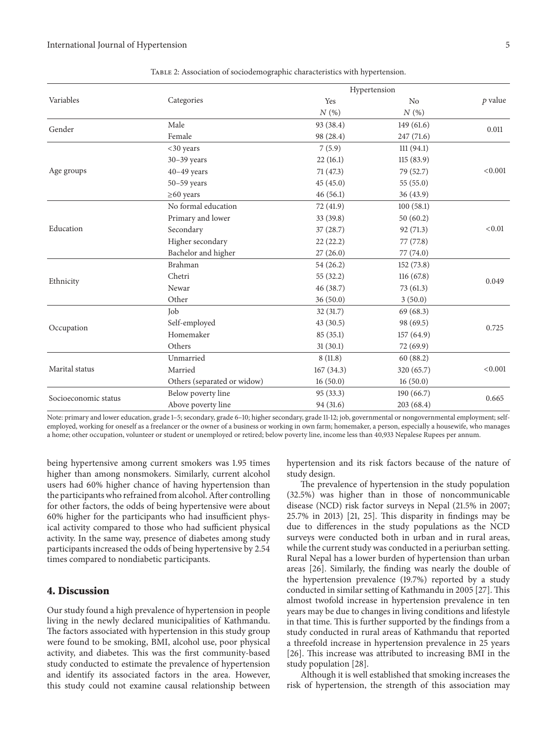|                      |                             | Hypertension |            |           |  |  |  |
|----------------------|-----------------------------|--------------|------------|-----------|--|--|--|
| Variables            | Categories                  | Yes          | No         | $p$ value |  |  |  |
|                      |                             | N(%)         | N(%)       |           |  |  |  |
| Gender               | Male                        | 93 (38.4)    | 149(61.6)  | 0.011     |  |  |  |
|                      | Female                      | 98 (28.4)    | 247(71.6)  |           |  |  |  |
|                      | $<30$ years                 | 7(5.9)       | 111(94.1)  |           |  |  |  |
|                      | $30-39$ years               | 22(16.1)     | 115(83.9)  |           |  |  |  |
| Age groups           | $40-49$ years               | 71 (47.3)    | 79 (52.7)  | < 0.001   |  |  |  |
|                      | $50 - 59$ years             | 45(45.0)     | 55(55.0)   |           |  |  |  |
|                      | $\geq 60$ years             | 46(56.1)     | 36(43.9)   |           |  |  |  |
|                      | No formal education         | 72 (41.9)    | 100(58.1)  |           |  |  |  |
|                      | Primary and lower           | 33 (39.8)    | 50(60.2)   |           |  |  |  |
| Education            | Secondary                   | 37(28.7)     | 92(71.3)   | < 0.01    |  |  |  |
|                      | Higher secondary            | 22(22.2)     | 77 (77.8)  |           |  |  |  |
|                      | Bachelor and higher         | 27(26.0)     | 77 (74.0)  |           |  |  |  |
|                      | Brahman                     | 54(26.2)     | 152(73.8)  |           |  |  |  |
| Ethnicity            | Chetri                      | 55(32.2)     | 116(67.8)  | 0.049     |  |  |  |
|                      | Newar                       | 46 (38.7)    | 73(61.3)   |           |  |  |  |
|                      | Other                       | 36(50.0)     | 3(50.0)    |           |  |  |  |
|                      | Job                         | 32(31.7)     | 69(68.3)   |           |  |  |  |
| Occupation           | Self-employed               | 43(30.5)     | 98 (69.5)  | 0.725     |  |  |  |
|                      | Homemaker                   | 85(35.1)     | 157(64.9)  |           |  |  |  |
|                      | Others                      | 31(30.1)     | 72(69.9)   |           |  |  |  |
| Marital status       | Unmarried                   | 8(11.8)      | 60(88.2)   |           |  |  |  |
|                      | Married                     | 167(34.3)    | 320 (65.7) | < 0.001   |  |  |  |
|                      | Others (separated or widow) | 16(50.0)     | 16(50.0)   |           |  |  |  |
|                      | Below poverty line          | 95 (33.3)    | 190(66.7)  | 0.665     |  |  |  |
| Socioeconomic status | Above poverty line          | 94 (31.6)    | 203(68.4)  |           |  |  |  |
|                      |                             |              |            |           |  |  |  |

Table 2: Association of sociodemographic characteristics with hypertension.

Note: primary and lower education, grade 1–5; secondary, grade 6–10; higher secondary, grade 11-12; job, governmental or nongovernmental employment; selfemployed, working for oneself as a freelancer or the owner of a business or working in own farm; homemaker, a person, especially a housewife, who manages a home; other occupation, volunteer or student or unemployed or retired; below poverty line, income less than 40,933 Nepalese Rupees per annum.

being hypertensive among current smokers was 1.95 times higher than among nonsmokers. Similarly, current alcohol users had 60% higher chance of having hypertension than the participants who refrained from alcohol. After controlling for other factors, the odds of being hypertensive were about 60% higher for the participants who had insufficient physical activity compared to those who had sufficient physical activity. In the same way, presence of diabetes among study participants increased the odds of being hypertensive by 2.54 times compared to nondiabetic participants.

#### **4. Discussion**

Our study found a high prevalence of hypertension in people living in the newly declared municipalities of Kathmandu. The factors associated with hypertension in this study group were found to be smoking, BMI, alcohol use, poor physical activity, and diabetes. This was the first community-based study conducted to estimate the prevalence of hypertension and identify its associated factors in the area. However, this study could not examine causal relationship between hypertension and its risk factors because of the nature of study design.

The prevalence of hypertension in the study population (32.5%) was higher than in those of noncommunicable disease (NCD) risk factor surveys in Nepal (21.5% in 2007; 25.7% in 2013) [21, 25]. This disparity in findings may be due to differences in the study populations as the NCD surveys were conducted both in urban and in rural areas, while the current study was conducted in a periurban setting. Rural Nepal has a lower burden of hypertension than urban areas [26]. Similarly, the finding was nearly the double of the hypertension prevalence (19.7%) reported by a study conducted in similar setting of Kathmandu in 2005 [27]. This almost twofold increase in hypertension prevalence in ten years may be due to changes in living conditions and lifestyle in that time. This is further supported by the findings from a study conducted in rural areas of Kathmandu that reported a threefold increase in hypertension prevalence in 25 years [26]. This increase was attributed to increasing BMI in the study population [28].

Although it is well established that smoking increases the risk of hypertension, the strength of this association may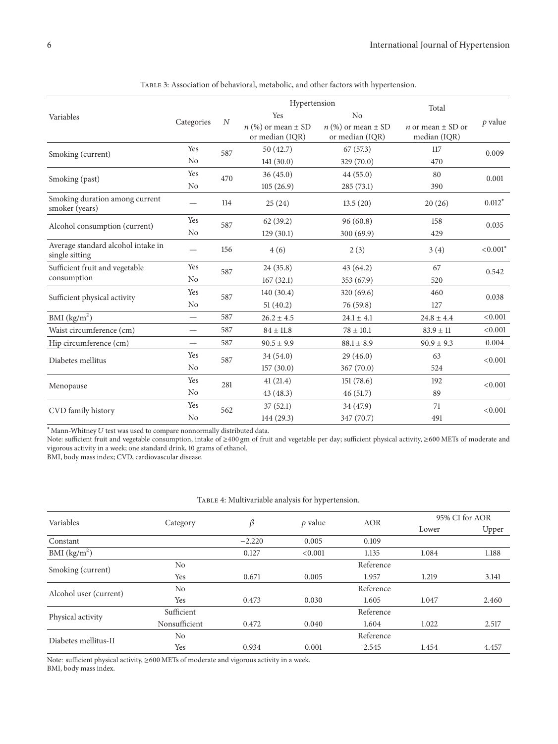|                                                      |                          |                  | Hypertension                                |                                             | Total                                        |             |  |
|------------------------------------------------------|--------------------------|------------------|---------------------------------------------|---------------------------------------------|----------------------------------------------|-------------|--|
| Variables                                            |                          | $\boldsymbol{N}$ | Yes<br>N <sub>o</sub>                       |                                             |                                              |             |  |
|                                                      | Categories               |                  | $n$ (%) or mean $\pm$ SD<br>or median (IQR) | $n$ (%) or mean $\pm$ SD<br>or median (IQR) | <i>n</i> or mean $\pm$ SD or<br>median (IQR) | $p$ value   |  |
| Smoking (current)                                    | Yes                      | 587              | 50 (42.7)                                   | 67(57.3)                                    | 117                                          | 0.009       |  |
|                                                      | N <sub>o</sub>           |                  | 141(30.0)                                   | 329 (70.0)                                  | 470                                          |             |  |
| Smoking (past)                                       | Yes                      | 470              | 36(45.0)                                    | 44(55.0)                                    | 80                                           | 0.001       |  |
|                                                      | N <sub>o</sub>           |                  | 105(26.9)                                   | 285(73.1)                                   | 390                                          |             |  |
| Smoking duration among current<br>smoker (years)     |                          | 114              | 25(24)                                      | 13.5(20)                                    | 20(26)                                       | $0.012*$    |  |
| Alcohol consumption (current)                        | Yes                      | 587              | 62(39.2)                                    | 96(60.8)                                    | 158                                          | 0.035       |  |
|                                                      | N <sub>o</sub>           |                  | 129(30.1)                                   | 300(69.9)                                   | 429                                          |             |  |
| Average standard alcohol intake in<br>single sitting |                          | 156              | 4(6)                                        | 2(3)                                        | 3(4)                                         | $< 0.001$ * |  |
| Sufficient fruit and vegetable                       | Yes                      | 587              | 24 (35.8)                                   | 43(64.2)                                    | 67                                           | 0.542       |  |
| consumption                                          | N <sub>o</sub>           |                  | 167(32.1)                                   | 353 (67.9)                                  | 520                                          |             |  |
| Sufficient physical activity                         | Yes                      | 587              | 140(30.4)                                   | 320(69.6)                                   | 460                                          | 0.038       |  |
|                                                      | N <sub>o</sub>           |                  | 51(40.2)                                    | 76 (59.8)                                   | 127                                          |             |  |
| BMI $(kg/m2)$                                        | $\overline{\phantom{0}}$ | 587              | $26.2 \pm 4.5$                              | $24.1 \pm 4.1$                              | $24.8 \pm 4.4$                               | < 0.001     |  |
| Waist circumference (cm)                             |                          | 587              | $84 \pm 11.8$                               | $78 \pm 10.1$                               | $83.9 \pm 11$                                | < 0.001     |  |
| Hip circumference (cm)                               | $\overline{\phantom{0}}$ | 587              | $90.5 \pm 9.9$                              | $88.1 \pm 8.9$                              | $90.9 \pm 9.3$                               | 0.004       |  |
| Diabetes mellitus                                    | Yes                      | 587              | 34 (54.0)                                   | 29(46.0)                                    | 63                                           | < 0.001     |  |
|                                                      | N <sub>o</sub>           |                  | 157(30.0)                                   | 367(70.0)                                   | 524                                          |             |  |
| Menopause                                            | Yes                      | 281              | 41(21.4)                                    | 151(78.6)                                   | 192                                          | < 0.001     |  |
|                                                      | N <sub>o</sub>           |                  | 43 (48.3)                                   | 46(51.7)                                    | 89                                           |             |  |
| CVD family history                                   | Yes                      | 562              | 37(52.1)                                    | 34 (47.9)                                   | 71                                           | < 0.001     |  |
|                                                      | No                       |                  | 144 (29.3)                                  | 347 (70.7)                                  | 491                                          |             |  |

Table 3: Association of behavioral, metabolic, and other factors with hypertension.

 $*$ Mann-Whitney  $U$  test was used to compare nonnormally distributed data.

Note: sufficient fruit and vegetable consumption, intake of ≥400 gm of fruit and vegetable per day; sufficient physical activity, ≥600 METs of moderate and vigorous activity in a week; one standard drink, 10 grams of ethanol.

BMI, body mass index; CVD, cardiovascular disease.

#### TABLE 4: Multivariable analysis for hypertension.

| Category      | β        | $p$ value | <b>AOR</b> | 95% CI for AOR |       |
|---------------|----------|-----------|------------|----------------|-------|
|               |          |           |            | Lower          | Upper |
|               | $-2.220$ | 0.005     | 0.109      |                |       |
|               | 0.127    | < 0.001   | 1.135      | 1.084          | 1.188 |
| No            |          |           | Reference  |                |       |
| Yes           | 0.671    | 0.005     | 1.957      | 1.219          | 3.141 |
| No            |          |           | Reference  |                |       |
| Yes           | 0.473    | 0.030     | 1.605      | 1.047          | 2.460 |
| Sufficient    |          |           | Reference  |                |       |
| Nonsufficient | 0.472    | 0.040     | 1.604      | 1.022          | 2.517 |
| No            |          |           | Reference  |                |       |
| Yes           | 0.934    | 0.001     | 2.545      | 1.454          | 4.457 |
|               |          |           |            |                |       |

Note: sufficient physical activity, ≥600 METs of moderate and vigorous activity in a week. BMI, body mass index.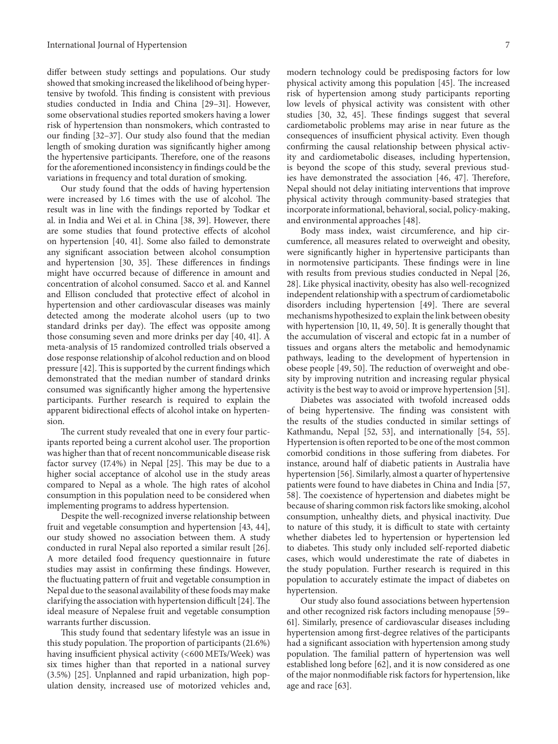differ between study settings and populations. Our study showed that smoking increased the likelihood of being hypertensive by twofold. This finding is consistent with previous studies conducted in India and China [29–31]. However, some observational studies reported smokers having a lower risk of hypertension than nonsmokers, which contrasted to our finding [32–37]. Our study also found that the median length of smoking duration was significantly higher among the hypertensive participants. Therefore, one of the reasons for the aforementioned inconsistency in findings could be the variations in frequency and total duration of smoking.

Our study found that the odds of having hypertension were increased by 1.6 times with the use of alcohol. The result was in line with the findings reported by Todkar et al. in India and Wei et al. in China [38, 39]. However, there are some studies that found protective effects of alcohol on hypertension [40, 41]. Some also failed to demonstrate any significant association between alcohol consumption and hypertension [30, 35]. These differences in findings might have occurred because of difference in amount and concentration of alcohol consumed. Sacco et al. and Kannel and Ellison concluded that protective effect of alcohol in hypertension and other cardiovascular diseases was mainly detected among the moderate alcohol users (up to two standard drinks per day). The effect was opposite among those consuming seven and more drinks per day [40, 41]. A meta-analysis of 15 randomized controlled trials observed a dose response relationship of alcohol reduction and on blood pressure [42]. This is supported by the current findings which demonstrated that the median number of standard drinks consumed was significantly higher among the hypertensive participants. Further research is required to explain the apparent bidirectional effects of alcohol intake on hypertension.

The current study revealed that one in every four participants reported being a current alcohol user. The proportion was higher than that of recent noncommunicable disease risk factor survey (17.4%) in Nepal [25]. This may be due to a higher social acceptance of alcohol use in the study areas compared to Nepal as a whole. The high rates of alcohol consumption in this population need to be considered when implementing programs to address hypertension.

Despite the well-recognized inverse relationship between fruit and vegetable consumption and hypertension [43, 44], our study showed no association between them. A study conducted in rural Nepal also reported a similar result [26]. A more detailed food frequency questionnaire in future studies may assist in confirming these findings. However, the fluctuating pattern of fruit and vegetable consumption in Nepal due to the seasonal availability of these foods may make clarifying the association with hypertension difficult [24].The ideal measure of Nepalese fruit and vegetable consumption warrants further discussion.

This study found that sedentary lifestyle was an issue in this study population. The proportion of participants (21.6%) having insufficient physical activity (<600 METs/Week) was six times higher than that reported in a national survey (3.5%) [25]. Unplanned and rapid urbanization, high population density, increased use of motorized vehicles and,

modern technology could be predisposing factors for low physical activity among this population [45]. The increased risk of hypertension among study participants reporting low levels of physical activity was consistent with other studies [30, 32, 45]. These findings suggest that several cardiometabolic problems may arise in near future as the consequences of insufficient physical activity. Even though confirming the causal relationship between physical activity and cardiometabolic diseases, including hypertension, is beyond the scope of this study, several previous studies have demonstrated the association [46, 47]. Therefore, Nepal should not delay initiating interventions that improve physical activity through community-based strategies that incorporate informational, behavioral, social, policy-making, and environmental approaches [48].

Body mass index, waist circumference, and hip circumference, all measures related to overweight and obesity, were significantly higher in hypertensive participants than in normotensive participants. These findings were in line with results from previous studies conducted in Nepal [26, 28]. Like physical inactivity, obesity has also well-recognized independent relationship with a spectrum of cardiometabolic disorders including hypertension [49]. There are several mechanisms hypothesized to explain the link between obesity with hypertension [10, 11, 49, 50]. It is generally thought that the accumulation of visceral and ectopic fat in a number of tissues and organs alters the metabolic and hemodynamic pathways, leading to the development of hypertension in obese people [49, 50]. The reduction of overweight and obesity by improving nutrition and increasing regular physical activity is the best way to avoid or improve hypertension [51].

Diabetes was associated with twofold increased odds of being hypertensive. The finding was consistent with the results of the studies conducted in similar settings of Kathmandu, Nepal [52, 53], and internationally [54, 55]. Hypertension is often reported to be one of the most common comorbid conditions in those suffering from diabetes. For instance, around half of diabetic patients in Australia have hypertension [56]. Similarly, almost a quarter of hypertensive patients were found to have diabetes in China and India [57, 58]. The coexistence of hypertension and diabetes might be because of sharing common risk factors like smoking, alcohol consumption, unhealthy diets, and physical inactivity. Due to nature of this study, it is difficult to state with certainty whether diabetes led to hypertension or hypertension led to diabetes. This study only included self-reported diabetic cases, which would underestimate the rate of diabetes in the study population. Further research is required in this population to accurately estimate the impact of diabetes on hypertension.

Our study also found associations between hypertension and other recognized risk factors including menopause [59– 61]. Similarly, presence of cardiovascular diseases including hypertension among first-degree relatives of the participants had a significant association with hypertension among study population. The familial pattern of hypertension was well established long before [62], and it is now considered as one of the major nonmodifiable risk factors for hypertension, like age and race [63].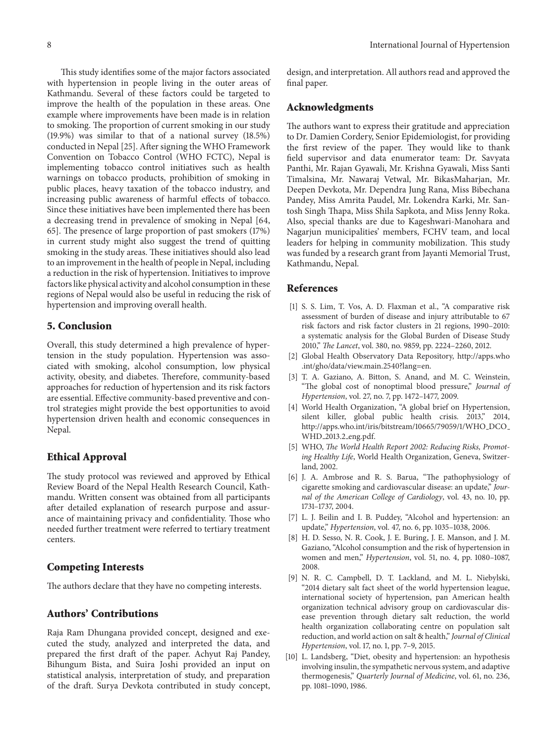This study identifies some of the major factors associated with hypertension in people living in the outer areas of Kathmandu. Several of these factors could be targeted to improve the health of the population in these areas. One example where improvements have been made is in relation to smoking. The proportion of current smoking in our study (19.9%) was similar to that of a national survey (18.5%) conducted in Nepal [25]. After signing the WHO Framework Convention on Tobacco Control (WHO FCTC), Nepal is implementing tobacco control initiatives such as health warnings on tobacco products, prohibition of smoking in public places, heavy taxation of the tobacco industry, and increasing public awareness of harmful effects of tobacco. Since these initiatives have been implemented there has been a decreasing trend in prevalence of smoking in Nepal [64, 65]. The presence of large proportion of past smokers (17%) in current study might also suggest the trend of quitting smoking in the study areas. These initiatives should also lead to an improvement in the health of people in Nepal, including a reduction in the risk of hypertension. Initiatives to improve factors like physical activity and alcohol consumption in these regions of Nepal would also be useful in reducing the risk of hypertension and improving overall health.

#### **5. Conclusion**

Overall, this study determined a high prevalence of hypertension in the study population. Hypertension was associated with smoking, alcohol consumption, low physical activity, obesity, and diabetes. Therefore, community-based approaches for reduction of hypertension and its risk factors are essential. Effective community-based preventive and control strategies might provide the best opportunities to avoid hypertension driven health and economic consequences in Nepal.

#### **Ethical Approval**

The study protocol was reviewed and approved by Ethical Review Board of the Nepal Health Research Council, Kathmandu. Written consent was obtained from all participants after detailed explanation of research purpose and assurance of maintaining privacy and confidentiality. Those who needed further treatment were referred to tertiary treatment centers.

#### **Competing Interests**

The authors declare that they have no competing interests.

#### **Authors' Contributions**

Raja Ram Dhungana provided concept, designed and executed the study, analyzed and interpreted the data, and prepared the first draft of the paper. Achyut Raj Pandey, Bihungum Bista, and Suira Joshi provided an input on statistical analysis, interpretation of study, and preparation of the draft. Surya Devkota contributed in study concept,

design, and interpretation. All authors read and approved the final paper.

#### **Acknowledgments**

The authors want to express their gratitude and appreciation to Dr. Damien Cordery, Senior Epidemiologist, for providing the first review of the paper. They would like to thank field supervisor and data enumerator team: Dr. Savyata Panthi, Mr. Rajan Gyawali, Mr. Krishna Gyawali, Miss Santi Timalsina, Mr. Nawaraj Vetwal, Mr. BikasMaharjan, Mr. Deepen Devkota, Mr. Dependra Jung Rana, Miss Bibechana Pandey, Miss Amrita Paudel, Mr. Lokendra Karki, Mr. Santosh Singh Thapa, Miss Shila Sapkota, and Miss Jenny Roka. Also, special thanks are due to Kageshwari-Manohara and Nagarjun municipalities' members, FCHV team, and local leaders for helping in community mobilization. This study was funded by a research grant from Jayanti Memorial Trust, Kathmandu, Nepal.

#### **References**

- [1] S. S. Lim, T. Vos, A. D. Flaxman et al., "A comparative risk assessment of burden of disease and injury attributable to 67 risk factors and risk factor clusters in 21 regions, 1990–2010: a systematic analysis for the Global Burden of Disease Study 2010," *The Lancet*, vol. 380, no. 9859, pp. 2224–2260, 2012.
- [2] Global Health Observatory Data Repository, http://apps.who .int/gho/data/view.main.2540?lang=en.
- [3] T. A. Gaziano, A. Bitton, S. Anand, and M. C. Weinstein, "The global cost of nonoptimal blood pressure," *Journal of Hypertension*, vol. 27, no. 7, pp. 1472–1477, 2009.
- [4] World Health Organization, "A global brief on Hypertension, silent killer, global public health crisis. 2013," 2014, http://apps.who.int/iris/bitstream/10665/79059/1/WHO\_DCO\_ WHD 2013.2 eng.pdf.
- [5] WHO, *The World Health Report 2002: Reducing Risks, Promoting Healthy Life*, World Health Organization, Geneva, Switzerland, 2002.
- [6] J. A. Ambrose and R. S. Barua, "The pathophysiology of cigarette smoking and cardiovascular disease: an update," *Journal of the American College of Cardiology*, vol. 43, no. 10, pp. 1731–1737, 2004.
- [7] L. J. Beilin and I. B. Puddey, "Alcohol and hypertension: an update," *Hypertension*, vol. 47, no. 6, pp. 1035–1038, 2006.
- [8] H. D. Sesso, N. R. Cook, J. E. Buring, J. E. Manson, and J. M. Gaziano, "Alcohol consumption and the risk of hypertension in women and men," *Hypertension*, vol. 51, no. 4, pp. 1080–1087, 2008.
- [9] N. R. C. Campbell, D. T. Lackland, and M. L. Niebylski, "2014 dietary salt fact sheet of the world hypertension league, international society of hypertension, pan American health organization technical advisory group on cardiovascular disease prevention through dietary salt reduction, the world health organization collaborating centre on population salt reduction, and world action on salt & health," *Journal of Clinical Hypertension*, vol. 17, no. 1, pp. 7–9, 2015.
- [10] L. Landsberg, "Diet, obesity and hypertension: an hypothesis involving insulin, the sympathetic nervous system, and adaptive thermogenesis," *Quarterly Journal of Medicine*, vol. 61, no. 236, pp. 1081–1090, 1986.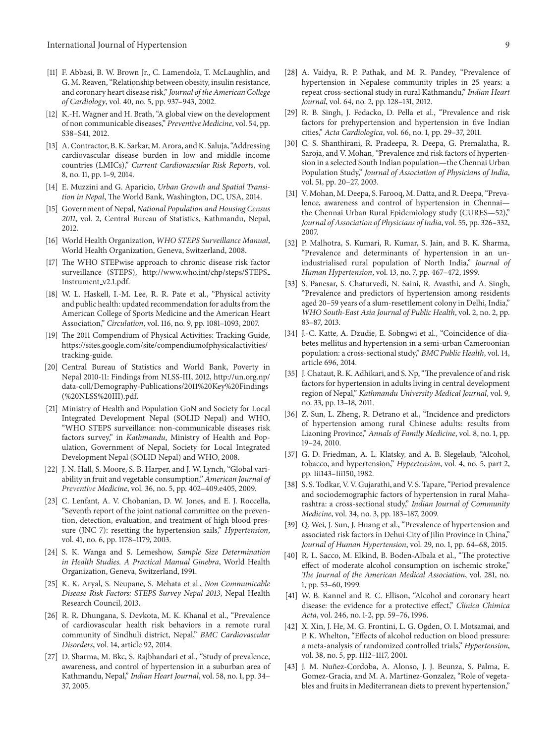- [11] F. Abbasi, B. W. Brown Jr., C. Lamendola, T. McLaughlin, and G. M. Reaven, "Relationship between obesity, insulin resistance, and coronary heart disease risk," *Journal of the American College of Cardiology*, vol. 40, no. 5, pp. 937–943, 2002.
- [12] K.-H. Wagner and H. Brath, "A global view on the development of non communicable diseases," *Preventive Medicine*, vol. 54, pp. S38–S41, 2012.
- [13] A. Contractor, B. K. Sarkar, M. Arora, and K. Saluja, "Addressing cardiovascular disease burden in low and middle income countries (LMICs)," *Current Cardiovascular Risk Reports*, vol. 8, no. 11, pp. 1–9, 2014.
- [14] E. Muzzini and G. Aparicio, *Urban Growth and Spatial Transition in Nepal*, The World Bank, Washington, DC, USA, 2014.
- [15] Government of Nepal, *National Population and Housing Census 2011*, vol. 2, Central Bureau of Statistics, Kathmandu, Nepal, 2012.
- [16] World Health Organization, *WHO STEPS Surveillance Manual*, World Health Organization, Geneva, Switzerland, 2008.
- [17] The WHO STEPwise approach to chronic disease risk factor surveillance (STEPS), http://www.who.int/chp/steps/STEPS Instrument\_v2.1.pdf.
- [18] W. L. Haskell, I.-M. Lee, R. R. Pate et al., "Physical activity and public health: updated recommendation for adults from the American College of Sports Medicine and the American Heart Association," *Circulation*, vol. 116, no. 9, pp. 1081–1093, 2007.
- [19] The 2011 Compendium of Physical Activities: Tracking Guide, https://sites.google.com/site/compendiumofphysicalactivities/ tracking-guide.
- [20] Central Bureau of Statistics and World Bank, Poverty in Nepal 2010-11: Findings from NLSS-III, 2012, http://un.org.np/ data-coll/Demography-Publications/2011%20Key%20Findings (%20NLSS%20III).pdf.
- [21] Ministry of Health and Population GoN and Society for Local Integrated Development Nepal (SOLID Nepal) and WHO, "WHO STEPS surveillance: non-communicable diseases risk factors survey," in *Kathmandu*, Ministry of Health and Population, Government of Nepal, Society for Local Integrated Development Nepal (SOLID Nepal) and WHO, 2008.
- [22] J. N. Hall, S. Moore, S. B. Harper, and J. W. Lynch, "Global variability in fruit and vegetable consumption," *American Journal of Preventive Medicine*, vol. 36, no. 5, pp. 402–409.e405, 2009.
- [23] C. Lenfant, A. V. Chobanian, D. W. Jones, and E. J. Roccella, "Seventh report of the joint national committee on the prevention, detection, evaluation, and treatment of high blood pressure (JNC 7): resetting the hypertension sails," *Hypertension*, vol. 41, no. 6, pp. 1178–1179, 2003.
- [24] S. K. Wanga and S. Lemeshow, *Sample Size Determination in Health Studies. A Practical Manual Ginebra*, World Health Organization, Geneva, Switzerland, 1991.
- [25] K. K. Aryal, S. Neupane, S. Mehata et al., *Non Communicable Disease Risk Factors: STEPS Survey Nepal 2013*, Nepal Health Research Council, 2013.
- [26] R. R. Dhungana, S. Devkota, M. K. Khanal et al., "Prevalence of cardiovascular health risk behaviors in a remote rural community of Sindhuli district, Nepal," *BMC Cardiovascular Disorders*, vol. 14, article 92, 2014.
- [27] D. Sharma, M. Bkc, S. Rajbhandari et al., "Study of prevalence, awareness, and control of hypertension in a suburban area of Kathmandu, Nepal," *Indian Heart Journal*, vol. 58, no. 1, pp. 34– 37, 2005.
- [28] A. Vaidya, R. P. Pathak, and M. R. Pandey, "Prevalence of hypertension in Nepalese community triples in 25 years: a repeat cross-sectional study in rural Kathmandu," *Indian Heart Journal*, vol. 64, no. 2, pp. 128–131, 2012.
- [29] R. B. Singh, J. Fedacko, D. Pella et al., "Prevalence and risk factors for prehypertension and hypertension in five Indian cities," *Acta Cardiologica*, vol. 66, no. 1, pp. 29–37, 2011.
- [30] C. S. Shanthirani, R. Pradeepa, R. Deepa, G. Premalatha, R. Saroja, and V. Mohan, "Prevalence and risk factors of hypertension in a selected South Indian population—the Chennai Urban Population Study," *Journal of Association of Physicians of India*, vol. 51, pp. 20–27, 2003.
- [31] V. Mohan, M. Deepa, S. Farooq, M. Datta, and R. Deepa, "Prevalence, awareness and control of hypertension in Chennai the Chennai Urban Rural Epidemiology study (CURES—52)," *Journal of Association of Physicians of India*, vol. 55, pp. 326–332, 2007.
- [32] P. Malhotra, S. Kumari, R. Kumar, S. Jain, and B. K. Sharma, "Prevalence and determinants of hypertension in an unindustrialised rural population of North India," *Journal of Human Hypertension*, vol. 13, no. 7, pp. 467–472, 1999.
- [33] S. Panesar, S. Chaturvedi, N. Saini, R. Avasthi, and A. Singh, "Prevalence and predictors of hypertension among residents aged 20–59 years of a slum-resettlement colony in Delhi, India," *WHO South-East Asia Journal of Public Health*, vol. 2, no. 2, pp. 83–87, 2013.
- [34] J.-C. Katte, A. Dzudie, E. Sobngwi et al., "Coincidence of diabetes mellitus and hypertension in a semi-urban Cameroonian population: a cross-sectional study," *BMC Public Health*, vol. 14, article 696, 2014.
- [35] J. Chataut, R. K. Adhikari, and S. Np, "The prevalence of and risk factors for hypertension in adults living in central development region of Nepal," *Kathmandu University Medical Journal*, vol. 9, no. 33, pp. 13–18, 2011.
- [36] Z. Sun, L. Zheng, R. Detrano et al., "Incidence and predictors of hypertension among rural Chinese adults: results from Liaoning Province," *Annals of Family Medicine*, vol. 8, no. 1, pp. 19–24, 2010.
- [37] G. D. Friedman, A. L. Klatsky, and A. B. Slegelaub, "Alcohol, tobacco, and hypertension," *Hypertension*, vol. 4, no. 5, part 2, pp. Iii143–Iii150, 1982.
- [38] S. S. Todkar, V. V. Gujarathi, and V. S. Tapare, "Period prevalence and sociodemographic factors of hypertension in rural Maharashtra: a cross-sectional study," *Indian Journal of Community Medicine*, vol. 34, no. 3, pp. 183–187, 2009.
- [39] Q. Wei, J. Sun, J. Huang et al., "Prevalence of hypertension and associated risk factors in Dehui City of Jilin Province in China," *Journal of Human Hypertension*, vol. 29, no. 1, pp. 64–68, 2015.
- [40] R. L. Sacco, M. Elkind, B. Boden-Albala et al., "The protective effect of moderate alcohol consumption on ischemic stroke," *The Journal of the American Medical Association*, vol. 281, no. 1, pp. 53–60, 1999.
- [41] W. B. Kannel and R. C. Ellison, "Alcohol and coronary heart disease: the evidence for a protective effect," *Clinica Chimica Acta*, vol. 246, no. 1-2, pp. 59–76, 1996.
- [42] X. Xin, J. He, M. G. Frontini, L. G. Ogden, O. I. Motsamai, and P. K. Whelton, "Effects of alcohol reduction on blood pressure: a meta-analysis of randomized controlled trials," *Hypertension*, vol. 38, no. 5, pp. 1112–1117, 2001.
- [43] J. M. Nuñez-Cordoba, A. Alonso, J. J. Beunza, S. Palma, E. Gomez-Gracia, and M. A. Martinez-Gonzalez, "Role of vegetables and fruits in Mediterranean diets to prevent hypertension,"